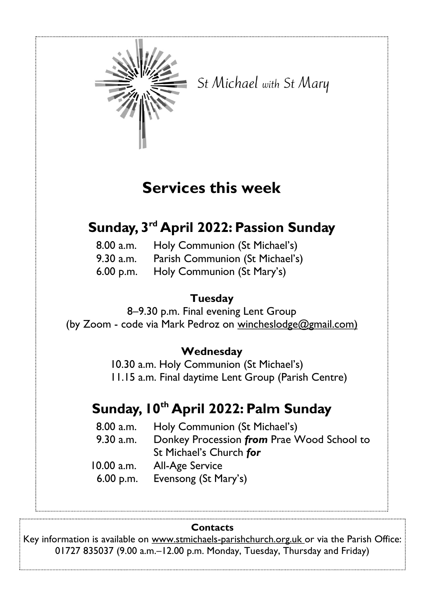

St Michael with St Mary

# **Services this week**

# **Sunday, 3rd April 2022: Passion Sunday**

- 8.00 a.m. Holy Communion (St Michael's)
- 9.30 a.m. Parish Communion (St Michael's)
- 6.00 p.m. Holy Communion (St Mary's)

#### **Tuesday**

8–9.30 p.m. Final evening Lent Group

(by Zoom - code via Mark Pedroz on wincheslodge@gmail.com)

#### **Wednesday**

 10.30 a.m. Holy Communion (St Michael's) 11.15 a.m. Final daytime Lent Group (Parish Centre)

## **Sunday, 10th April 2022: Palm Sunday**

| 8.00 a.m.  | Holy Communion (St Michael's)              |
|------------|--------------------------------------------|
| 9.30 a.m.  | Donkey Procession from Prae Wood School to |
|            | St Michael's Church for                    |
| 10.00 a.m. | All-Age Service                            |
| 6.00 p.m.  | Evensong (St Mary's)                       |

#### **Contacts**

Key information is available on [www.stmichaels-parishchurch.org.uk or](http://www.stmichaels-parishchurch.org.uk/home.asp) via the Parish Office: 01727 835037 (9.00 a.m.–12.00 p.m. Monday, Tuesday, Thursday and Friday)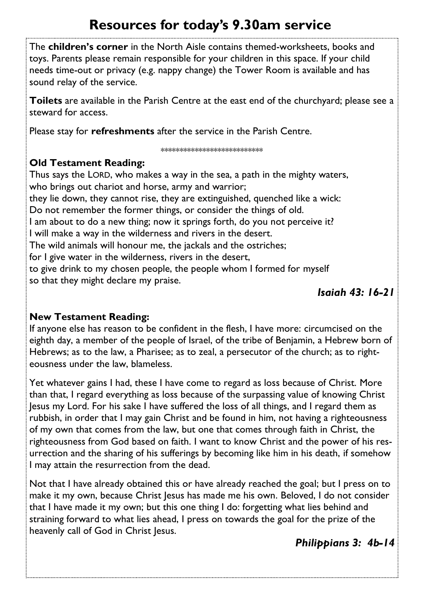## **Resources for today's 9.30am service**

The **children's corner** in the North Aisle contains themed-worksheets, books and toys. Parents please remain responsible for your children in this space. If your child needs time-out or privacy (e.g. nappy change) the Tower Room is available and has sound relay of the service.

**Toilets** are available in the Parish Centre at the east end of the churchyard; please see a steward for access.

Please stay for **refreshments** after the service in the Parish Centre.

\*\*\*\*\*\*\*\*\*\*\*\*\*\*\*\*\*\*\*\*\*\*\*\*\*\*\*

#### **Old Testament Reading:**

Thus says the LORD, who makes a way in the sea, a path in the mighty waters, who brings out chariot and horse, army and warrior; they lie down, they cannot rise, they are extinguished, quenched like a wick: Do not remember the former things, or consider the things of old. I am about to do a new thing; now it springs forth, do you not perceive it? I will make a way in the wilderness and rivers in the desert. The wild animals will honour me, the jackals and the ostriches; for I give water in the wilderness, rivers in the desert, to give drink to my chosen people, the people whom I formed for myself so that they might declare my praise.

### *Isaiah 43: 16-21*

#### **New Testament Reading:**

If anyone else has reason to be confident in the flesh, I have more: circumcised on the eighth day, a member of the people of Israel, of the tribe of Benjamin, a Hebrew born of Hebrews; as to the law, a Pharisee; as to zeal, a persecutor of the church; as to righteousness under the law, blameless.

Yet whatever gains I had, these I have come to regard as loss because of Christ. More than that, I regard everything as loss because of the surpassing value of knowing Christ Jesus my Lord. For his sake I have suffered the loss of all things, and I regard them as rubbish, in order that I may gain Christ and be found in him, not having a righteousness of my own that comes from the law, but one that comes through faith in Christ, the righteousness from God based on faith. I want to know Christ and the power of his resurrection and the sharing of his sufferings by becoming like him in his death, if somehow I may attain the resurrection from the dead.

Not that I have already obtained this or have already reached the goal; but I press on to make it my own, because Christ Jesus has made me his own. Beloved, I do not consider that I have made it my own; but this one thing I do: forgetting what lies behind and straining forward to what lies ahead, I press on towards the goal for the prize of the heavenly call of God in Christ Jesus.

### *Philippians 3: 4b-14*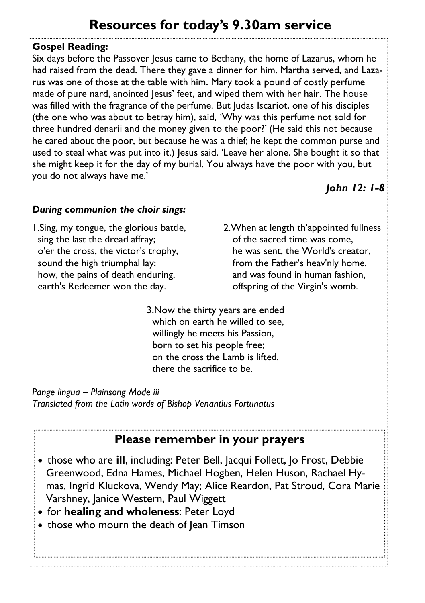## **Resources for today's 9.30am service**

#### **Gospel Reading:**

Six days before the Passover Jesus came to Bethany, the home of Lazarus, whom he had raised from the dead. There they gave a dinner for him. Martha served, and Lazarus was one of those at the table with him. Mary took a pound of costly perfume made of pure nard, anointed Jesus' feet, and wiped them with her hair. The house was filled with the fragrance of the perfume. But Judas Iscariot, one of his disciples (the one who was about to betray him), said, 'Why was this perfume not sold for three hundred denarii and the money given to the poor?' (He said this not because he cared about the poor, but because he was a thief; he kept the common purse and used to steal what was put into it.) Jesus said, 'Leave her alone. She bought it so that she might keep it for the day of my burial. You always have the poor with you, but you do not always have me.'

### *John 12: 1-8*

#### *During communion the choir sings:*

1.Sing, my tongue, the glorious battle, 2.When at length th'appointed fullness sing the last the dread affray; only of the sacred time was come, o'er the cross, the victor's trophy, he was sent, the World's creator, sound the high triumphal lay; from the Father's heav'nly home, how, the pains of death enduring, and was found in human fashion, earth's Redeemer won the day. offspring of the Virgin's womb.

- 
- 3.Now the thirty years are ended which on earth he willed to see. willingly he meets his Passion, born to set his people free; on the cross the Lamb is lifted, there the sacrifice to be.

*Pange lingua – Plainsong Mode iii Translated from the Latin words of Bishop Venantius Fortunatus*

#### **Please remember in your prayers**

- those who are **ill**, including: Peter Bell, Jacqui Follett, Jo Frost, Debbie Greenwood, Edna Hames, Michael Hogben, Helen Huson, Rachael Hymas, Ingrid Kluckova, Wendy May; Alice Reardon, Pat Stroud, Cora Marie Varshney, Janice Western, Paul Wiggett
- for **healing and wholeness**: Peter Loyd
- those who mourn the death of Jean Timson